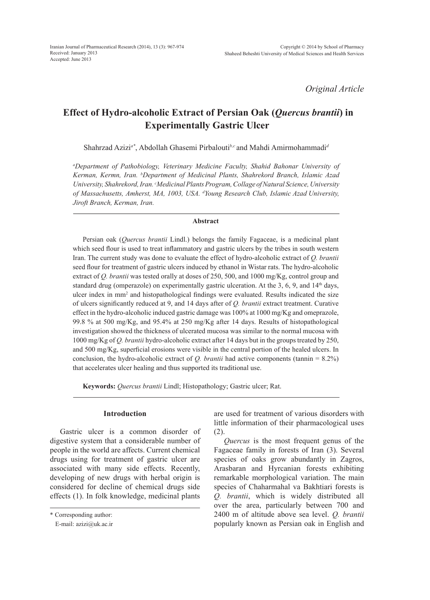*Original Article*

# **Effect of Hydro-alcoholic Extract of Persian Oak (***Quercus brantii***) in Experimentally Gastric Ulcer**

Shahrzad Azizi*a\**, Abdollah Ghasemi Pirbalouti*b,c* and Mahdi Amirmohammadi*<sup>d</sup>*

*a Department of Pathobiology, Veterinary Medicine Faculty, Shahid Bahonar University of Kerman, Kermn, Iran. b Department of Medicinal Plants, Shahrekord Branch, Islamic Azad University, Shahrekord, Iran. c Medicinal Plants Program, Collage of Natural Science, University of Massachusetts, Amherst, MA, 1003, USA. d Young Research Club, Islamic Azad University, Jiroft Branch, Kerman, Iran.*

### **Abstract**

Persian oak (*Quercus brantii* Lindl.) belongs the family Fagaceae, is a medicinal plant which seed flour is used to treat inflammatory and gastric ulcers by the tribes in south western Iran. The current study was done to evaluate the effect of hydro-alcoholic extract of *Q. brantii*  seed flour for treatment of gastric ulcers induced by ethanol in Wistar rats. The hydro-alcoholic extract of *Q. brantii* was tested orally at doses of 250, 500, and 1000 mg/Kg, control group and standard drug (omperazole) on experimentally gastric ulceration. At the 3, 6, 9, and  $14<sup>th</sup>$  days, ulcer index in mm2 and histopathological findings were evaluated. Results indicated the size of ulcers significantly reduced at 9, and 14 days after of *Q. brantii* extract treatment. Curative effect in the hydro-alcoholic induced gastric damage was 100% at 1000 mg/Kg and omeprazole, 99.8 % at 500 mg/Kg, and 95.4% at 250 mg/Kg after 14 days. Results of histopathological investigation showed the thickness of ulcerated mucosa was similar to the normal mucosa with 1000 mg/Kg of *Q. brantii* hydro-alcoholic extract after 14 days but in the groups treated by 250, and 500 mg/Kg, superficial erosions were visible in the central portion of the healed ulcers. In conclusion, the hydro-alcoholic extract of  $Q$ . *brantii* had active components (tannin = 8.2%) that accelerates ulcer healing and thus supported its traditional use.

**Keywords:** *Quercus brantii* Lindl; Histopathology; Gastric ulcer; Rat.

### **Introduction**

Gastric ulcer is a common disorder of digestive system that a considerable number of people in the world are affects. Current chemical drugs using for treatment of gastric ulcer are associated with many side effects. Recently, developing of new drugs with herbal origin is considered for decline of chemical drugs side effects (1). In folk knowledge, medicinal plants are used for treatment of various disorders with little information of their pharmacological uses (2).

*Quercus* is the most frequent genus of the Fagaceae family in forests of Iran (3). Several species of oaks grow abundantly in Zagros, Arasbaran and Hyrcanian forests exhibiting remarkable morphological variation. The main species of Chaharmahal va Bakhtiari forests is *Q. brantii*, which is widely distributed all over the area, particularly between 700 and 2400 m of altitude above sea level. *Q. brantii* popularly known as Persian oak in English and

<sup>\*</sup> Corresponding author:

E-mail: azizi@uk.ac.ir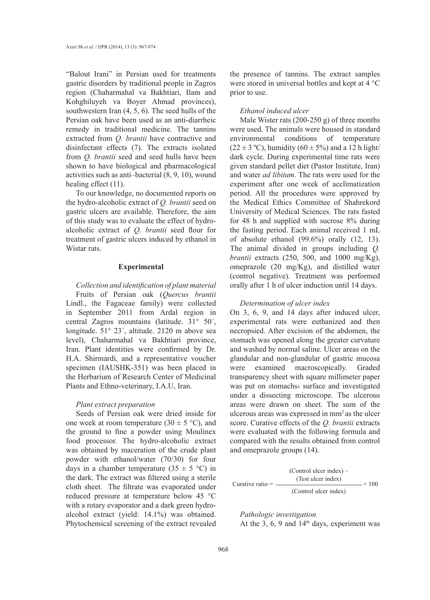"Balout Irani" in Persian used for treatments gastric disorders by traditional people in Zagros region (Chaharmahal va Bakhtiari, Ilam and Kohghiluyeh va Boyer Ahmad provinces), southwestern Iran (4, 5, 6). The seed hulls of the Persian oak have been used as an anti-diarrheic remedy in traditional medicine. The tannins extracted from *Q. brantii* have contractive and disinfectant effects (7). The extracts isolated from *Q. brantii* seed and seed hulls have been shown to have biological and pharmacological activities such as anti–bacterial (8, 9, 10), wound healing effect (11).

To our knowledge, no documented reports on the hydro-alcoholic extract of *Q. brantii* seed on gastric ulcers are available. Therefore, the aim of this study was to evaluate the effect of hydroalcoholic extract of *Q. brantii* seed flour for treatment of gastric ulcers induced by ethanol in Wistar rats.

# **Experimental**

*Collection and identification of plant material* Fruits of Persian oak (*Quercus brantii*  Lindl., the Fagaceae family) were collected in September 2011 from Ardal region in central Zagros mountains (latitude. 31° 50´, longitude. 51° 23´, altitude. 2120 m above sea level), Chaharmahal va Bakhtiari province, Iran. Plant identities were confirmed by Dr. H.A. Shirmardi, and a representative voucher specimen (IAUSHK-351) was been placed in the Herbarium of Research Center of Medicinal Plants and Ethno-veterinary, I.A.U, Iran.

### *Plant extract preparation*

Seeds of Persian oak were dried inside for one week at room temperature (30  $\pm$  5 °C), and the ground to fine a powder using Moulinex food processor. The hydro-alcoholic extract was obtained by maceration of the crude plant powder with ethanol/water (70/30) for four days in a chamber temperature  $(35 \pm 5 \degree C)$  in the dark. The extract was filtered using a sterile cloth sheet. The filtrate was evaporated under reduced pressure at temperature below 45 °C with a rotary evaporator and a dark green hydroalcohol extract (yield: 14.1%) was obtained. Phytochemical screening of the extract revealed the presence of tannins. The extract samples were stored in universal bottles and kept at 4 °C prior to use.

# *Ethanol induced ulcer*

Male Wister rats (200-250 g) of three months were used. The animals were housed in standard environmental conditions of temperature  $(22 \pm 3 \degree C)$ , humidity  $(60 \pm 5\%)$  and a 12 h light/ dark cycle. During experimental time rats were given standard pellet diet (Pastor Institute, Iran) and water *ad libitum*. The rats were used for the experiment after one week of acclimatization period. All the procedures were approved by the Medical Ethics Committee of Shahrekord University of Medical Sciences. The rats fasted for 48 h and supplied with sucrose 8% during the fasting period. Each animal received 1 mL of absolute ethanol (99.6%) orally (12, 13). The animal divided in groups including *Q. brantii* extracts (250, 500, and 1000 mg/Kg), omeprazole (20 mg/Kg), and distilled water (control negative). Treatment was performed orally after 1 h of ulcer induction until 14 days.

### *Determination of ulcer index*

On 3, 6, 9, and 14 days after induced ulcer, experimental rats were euthanized and then necropsied. After excision of the abdomen, the stomach was opened along the greater curvature and washed by normal saline. Ulcer areas on the glandular and non-glandular of gastric mucosa were examined macroscopically. Graded transparency sheet with square millimeter paper was put on stomachs› surface and investigated under a dissecting microscope. The ulcerous areas were drawn on sheet. The sum of the ulcerous areas was expressed in mm2 as the ulcer score. Curative effects of the *Q. brantii* extracts were evaluated with the following formula and compared with the results obtained from control and omeprazole groups (14).

$$
Curative ratio = \frac{(Control \text{ luer index}) - (Test \text{ luer index})}{(Control \text{ luer index})} \times 100
$$

*Pathologic investigation* At the 3, 6, 9 and  $14<sup>th</sup>$  days, experiment was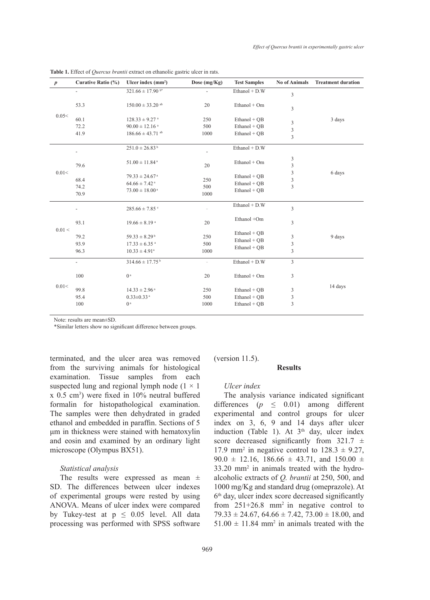| $\boldsymbol{p}$ | Curative Ratio (%)       | Ulcer index $(mm2)$                                                                                  | Dose (mg/Kg)             | <b>Test Samples</b>                              | <b>No of Animals</b>              | <b>Treatment duration</b> |
|------------------|--------------------------|------------------------------------------------------------------------------------------------------|--------------------------|--------------------------------------------------|-----------------------------------|---------------------------|
| 0.05<            | $\overline{\phantom{a}}$ | $321.66 \pm 17.90$ b*                                                                                |                          | Ethanol + D.W                                    | 3                                 |                           |
|                  | 53.3                     | $150.00 \pm 33.20$ <sup>ab</sup>                                                                     | 20                       | Ethanol + Om                                     | 3                                 |                           |
|                  | 60.1<br>72.2<br>41.9     | $128.33 \pm 9.27$ <sup>a</sup><br>$90.00 \pm 12.16$ <sup>a</sup><br>$186.66 \pm 43.71$ <sup>ab</sup> | 250<br>500<br>1000       | $Ethanol + QB$<br>Ethanol + QB<br>Ethanol + QB   | 3<br>3<br>$\overline{\mathbf{3}}$ | 3 days                    |
| 0.01<            |                          | $251.0 \pm 26.83^b$                                                                                  |                          | Ethanol + D.W                                    |                                   |                           |
|                  | 79.6                     | $51.00 \pm 11.84$ <sup>a</sup>                                                                       | 20                       | Ethanol + Om                                     | 3<br>$\overline{\mathbf{3}}$      | 6 days                    |
|                  | 68.4<br>74.2<br>70.9     | $79.33 \pm 24.67$ <sup>a</sup><br>$64.66 \pm 7.42$ <sup>a</sup><br>$73.00 \pm 18.00^{\text{ a}}$     | 250<br>500<br>1000       | Ethanol + $QB$<br>Ethanol + QB<br>Ethanol + QB   | 3<br>3<br>$\overline{3}$          |                           |
| 0.01 <           | $\overline{\phantom{a}}$ | $285.66 \pm 7.85$ <sup>c</sup>                                                                       |                          | Ethanol + D.W                                    | 3                                 |                           |
|                  | 93.1                     | $19.66 \pm 8.19$ <sup>a</sup>                                                                        | 20                       | Ethanol +Om                                      | 3                                 |                           |
|                  | 79.2<br>93.9<br>96.3     | $59.33 \pm 8.29$ <sup>b</sup><br>$17.33 \pm 6.35$ <sup>a</sup><br>$10.33 \pm 4.91^{\circ}$           | 250<br>500<br>1000       | Ethanol + QB<br>$Ethanol + OB$<br>Ethanol + QB   | 3<br>3<br>3                       | 9 days                    |
| 0.01<            | $\overline{\phantom{a}}$ | $314.66 \pm 17.75^{\mathrm{b}}$                                                                      | $\overline{\phantom{a}}$ | Ethanol + D.W                                    | $\overline{3}$                    |                           |
|                  | 100                      | 0 <sup>a</sup>                                                                                       | 20                       | Ethanol + Om                                     | 3                                 |                           |
|                  | 99.8<br>95.4<br>100      | $14.33 \pm 2.96$ <sup>a</sup><br>$0.33 \pm 0.33$ <sup>a</sup><br>0 <sup>a</sup>                      | 250<br>500<br>1000       | $Ethanol + QB$<br>Ethanol + OB<br>$Ethanol + OB$ | 3<br>3<br>3                       | 14 days                   |
|                  |                          |                                                                                                      |                          |                                                  |                                   |                           |

**Table 1.** Effect of *Quercus brantii* extract on ethanolic gastric ulcer in rats.

Note: results are mean±SD.

\*Similar letters show no significant difference between groups.

terminated, and the ulcer area was removed from the surviving animals for histological examination. Tissue samples from each suspected lung and regional lymph node  $(1 \times 1)$ x 0.5 cm3 ) were fixed in 10% neutral buffered formalin for histopathological examination. The samples were then dehydrated in graded ethanol and embedded in paraffin. Sections of 5 μm in thickness were stained with hematoxylin and eosin and examined by an ordinary light microscope (Olympus BX51).

## *Statistical analysis*

The results were expressed as mean  $\pm$ SD. The differences between ulcer indexes of experimental groups were rested by using ANOVA. Means of ulcer index were compared by Tukey-test at  $p \le 0.05$  level. All data processing was performed with SPSS software (version 11.5).

#### **Results**

#### *Ulcer index*

The analysis variance indicated significant differences  $(p \leq 0.01)$  among different experimental and control groups for ulcer index on 3, 6, 9 and 14 days after ulcer induction (Table 1). At  $3<sup>th</sup>$  day, ulcer index score decreased significantly from  $321.7 \pm$ 17.9 mm<sup>2</sup> in negative control to  $128.3 \pm 9.27$ , 90.0  $\pm$  12.16, 186.66  $\pm$  43.71, and 150.00  $\pm$ 33.20 mm2 in animals treated with the hydroalcoholic extracts of *Q. brantii* at 250, 500, and 1000 mg/Kg and standard drug (omeprazole). At 6<sup>th</sup> day, ulcer index score decreased significantly from  $251+26.8$  mm<sup>2</sup> in negative control to  $79.33 \pm 24.67$ ,  $64.66 \pm 7.42$ ,  $73.00 \pm 18.00$ , and  $51.00 \pm 11.84$  mm<sup>2</sup> in animals treated with the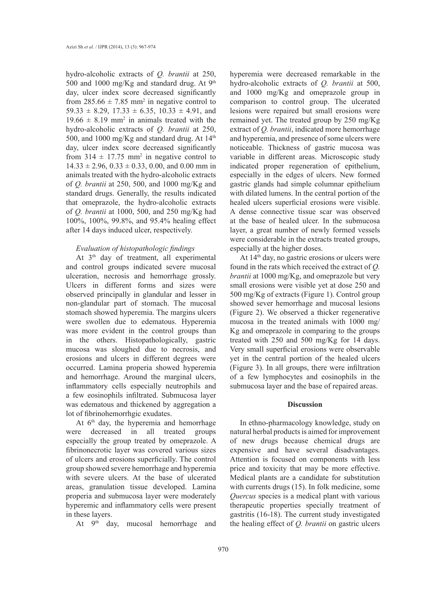hydro-alcoholic extracts of *Q. brantii* at 250, 500 and 1000 mg/Kg and standard drug. At  $9<sup>th</sup>$ day, ulcer index score decreased significantly from  $285.66 \pm 7.85$  mm<sup>2</sup> in negative control to  $59.33 \pm 8.29$ ,  $17.33 \pm 6.35$ ,  $10.33 \pm 4.91$ , and  $19.66 \pm 8.19$  mm<sup>2</sup> in animals treated with the hydro-alcoholic extracts of *Q. brantii* at 250, 500, and 1000 mg/Kg and standard drug. At  $14<sup>th</sup>$ day, ulcer index score decreased significantly from  $314 \pm 17.75$  mm<sup>2</sup> in negative control to  $14.33 \pm 2.96$ ,  $0.33 \pm 0.33$ , 0.00, and 0.00 mm in animals treated with the hydro-alcoholic extracts of *Q. brantii* at 250, 500, and 1000 mg/Kg and standard drugs. Generally, the results indicated that omeprazole, the hydro-alcoholic extracts of *Q. brantii* at 1000, 500, and 250 mg/Kg had 100%, 100%, 99.8%, and 95.4% healing effect after 14 days induced ulcer, respectively.

# *Evaluation of histopathologic findings*

At  $3<sup>th</sup>$  day of treatment, all experimental and control groups indicated severe mucosal ulceration, necrosis and hemorrhage grossly. Ulcers in different forms and sizes were observed principally in glandular and lesser in non-glandular part of stomach. The mucosal stomach showed hyperemia. The margins ulcers were swollen due to edematous. Hyperemia was more evident in the control groups than in the others. Histopathologically, gastric mucosa was sloughed due to necrosis, and erosions and ulcers in different degrees were occurred. Lamina properia showed hyperemia and hemorrhage. Around the marginal ulcers, inflammatory cells especially neutrophils and a few eosinophils infiltrated. Submucosa layer was edematous and thickened by aggregation a lot of fibrinohemorrhgic exudates.

At 6<sup>th</sup> day, the hyperemia and hemorrhage were decreased in all treated groups especially the group treated by omeprazole. A fibrinonecrotic layer was covered various sizes of ulcers and erosions superficially. The control group showed severe hemorrhage and hyperemia with severe ulcers. At the base of ulcerated areas, granulation tissue developed. Lamina properia and submucosa layer were moderately hyperemic and inflammatory cells were present in these layers.

At 9th day, mucosal hemorrhage and

hyperemia were decreased remarkable in the hydro-alcoholic extracts of *Q. brantii* at 500, and 1000 mg/Kg and omeprazole group in comparison to control group. The ulcerated lesions were repaired but small erosions were remained yet. The treated group by 250 mg/Kg extract of *Q. brantii*, indicated more hemorrhage and hyperemia, and presence of some ulcers were noticeable. Thickness of gastric mucosa was variable in different areas. Microscopic study indicated proper regeneration of epithelium, especially in the edges of ulcers. New formed gastric glands had simple columnar epithelium with dilated lumens. In the central portion of the healed ulcers superficial erosions were visible. A dense connective tissue scar was observed at the base of healed ulcer. In the submucosa layer, a great number of newly formed vessels were considerable in the extracts treated groups, especially at the higher doses.

At 14th day, no gastric erosions or ulcers were found in the rats which received the extract of *Q. brantii* at 1000 mg/Kg, and omeprazole but very small erosions were visible yet at dose 250 and 500 mg/Kg of extracts (Figure 1). Control group showed sever hemorrhage and mucosal lesions (Figure 2). We observed a thicker regenerative mucosa in the treated animals with 1000 mg/ Kg and omeprazole in comparing to the groups treated with 250 and 500 mg/Kg for 14 days. Very small superficial erosions were observable yet in the central portion of the healed ulcers (Figure 3). In all groups, there were infiltration of a few lymphocytes and eosinophils in the submucosa layer and the base of repaired areas.

# **Discussion**

In ethno-pharmacology knowledge, study on natural herbal products is aimed for improvement of new drugs because chemical drugs are expensive and have several disadvantages. Attention is focused on components with less price and toxicity that may be more effective. Medical plants are a candidate for substitution with currents drugs (15). In folk medicine, some *Quercus* species is a medical plant with various therapeutic properties specially treatment of gastritis (16-18). The current study investigated the healing effect of *Q. brantii* on gastric ulcers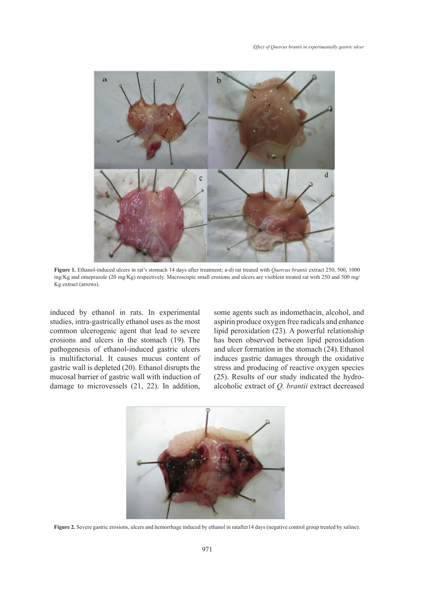

**Figure 1.** Ethanol-induced ulcers in rat's stomach 14 days after treatment; a-d) rat treated with *Quercus brantii* extract 250, 500, 1000 mg/Kg and omeprazole (20 mg/Kg) respectively. Macroscopic small erosions and ulcers are visiblein treated rat with 250 and 500 mg/ Kg extract (arrows).

induced by ethanol in rats. In experimental studies, intra-gastrically ethanol uses as the most common ulcerogenic agent that lead to severe erosions and ulcers in the stomach (19). The pathogenesis of ethanol-induced gastric ulcers is multifactorial. It causes mucus content of gastric wall is depleted (20). Ethanol disrupts the mucosal barrier of gastric wall with induction of damage to microvessels (21, 22). In addition, some agents such as indomethacin, alcohol, and aspirin produce oxygen free radicals and enhance lipid peroxidation (23). A powerful relationship has been observed between lipid peroxidation and ulcer formation in the stomach (24).Ethanol induces gastric damages through the oxidative stress and producing of reactive oxygen species (25). Results of our study indicated the hydroalcoholic extract of *Q. brantii* extract decreased



**Figure 2.** Severe gastric erosions, ulcers and hemorrhage induced by ethanol in ratafter14 days (negative control group treated by saline).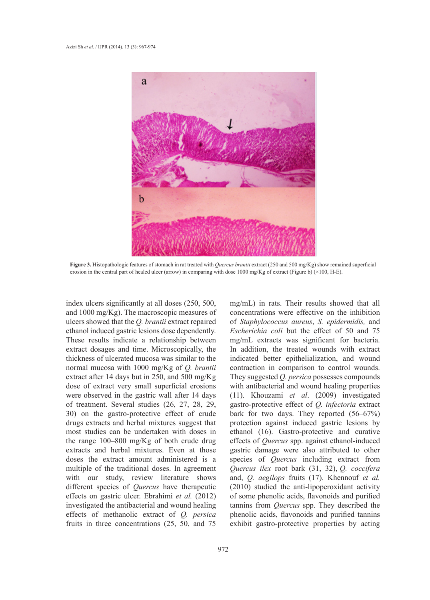

**Figure 3.** Histopathologic features of stomach in rat treated with *Quercus brantii* extract (250 and 500 mg/Kg) show remained superficial erosion in the central part of healed ulcer (arrow) in comparing with dose 1000 mg/Kg of extract (Figure b) (×100, H-E).

index ulcers significantly at all doses (250, 500, and 1000 mg/Kg). The macroscopic measures of ulcers showed that the *Q. brantii* extract repaired ethanol induced gastric lesions dose dependently. These results indicate a relationship between extract dosages and time. Microscopically, the thickness of ulcerated mucosa was similar to the normal mucosa with 1000 mg/Kg of *Q. brantii* extract after 14 days but in 250, and 500 mg/Kg dose of extract very small superficial erosions were observed in the gastric wall after 14 days of treatment. Several studies (26, 27, 28, 29, 30) on the gastro-protective effect of crude drugs extracts and herbal mixtures suggest that most studies can be undertaken with doses in the range 100–800 mg/Kg of both crude drug extracts and herbal mixtures. Even at those doses the extract amount administered is a multiple of the traditional doses. In agreement with our study, review literature shows different species of *Quercus* have therapeutic effects on gastric ulcer. Ebrahimi *et al.* (2012) investigated the antibacterial and wound healing effects of methanolic extract of *Q. persica*  fruits in three concentrations (25, 50, and 75

mg/mL) in rats. Their results showed that all concentrations were effective on the inhibition of *Staphylococcus aureus*, *S. epidermidis,* and *Escherichia coli* but the effect of 50 and 75 mg/mL extracts was significant for bacteria. In addition, the treated wounds with extract indicated better epithelialization, and wound contraction in comparison to control wounds. They suggested *Q. persica* possesses compounds with antibacterial and wound healing properties (11). Khouzami *et al*. (2009) investigated gastro-protective effect of *Q. infectoria* extract bark for two days. They reported (56–67%) protection against induced gastric lesions by ethanol (16). Gastro-protective and curative effects of *Quercus* spp. against ethanol-induced gastric damage were also attributed to other species of *Quercus* including extract from *Quercus ilex* root bark (31, 32), *Q. coccifera*  and, *Q. aegilops* fruits (17). Khennouf *et al.* (2010) studied the anti-lipoperoxidant activity of some phenolic acids, flavonoids and purified tannins from *Quercus* spp. They described the phenolic acids, flavonoids and purified tannins exhibit gastro-protective properties by acting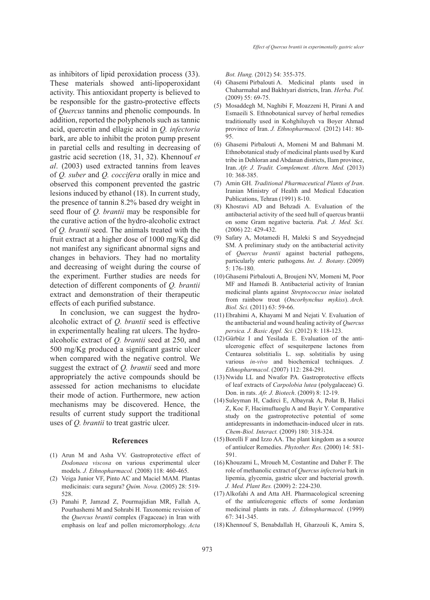as inhibitors of lipid peroxidation process (33). These materials showed anti-lipoperoxidant activity. This antioxidant property is believed to be responsible for the gastro-protective effects of *Quercus* tannins and phenolic compounds. In addition, reported the polyphenols such as tannic acid, quercetin and ellagic acid in *Q. infectoria*  bark, are able to inhibit the proton pump present in paretial cells and resulting in decreasing of gastric acid secretion (18, 31, 32). Khennouf *et al*. (2003) used extracted tannins from leaves of *Q. suber* and *Q. coccifera* orally in mice and observed this component prevented the gastric lesions induced by ethanol (18). In current study, the presence of tannin 8.2% based dry weight in seed flour of *Q. brantii* may be responsible for the curative action of the hydro-alcoholic extract of *Q. brantii* seed. The animals treated with the fruit extract at a higher dose of 1000 mg/Kg did not manifest any significant abnormal signs and changes in behaviors. They had no mortality and decreasing of weight during the course of the experiment. Further studies are needs for detection of different components of *Q. brantii* extract and demonstration of their therapeutic effects of each purified substance.

In conclusion, we can suggest the hydroalcoholic extract of *Q. brantii* seed is effective in experimentally healing rat ulcers. The hydroalcoholic extract of *Q. brantii* seed at 250, and 500 mg/Kg produced a significant gastric ulcer when compared with the negative control. We suggest the extract of *Q. brantii* seed and more appropriately the active compounds should be assessed for action mechanisms to elucidate their mode of action. Furthermore, new action mechanisms may be discovered. Hence, the results of current study support the traditional uses of *Q. brantii* to treat gastric ulcer.

#### **References**

- (1) Arun M and Asha VV. Gastroprotective effect of *Dodonaea viscosa* on various experimental ulcer models. *J. Ethnopharmacol.* (2008) 118: 460-465.
- (2) Veiga Junior VF, Pinto AC and Maciel MAM. Plantas medicinais: cura segura? *Quim. Nova.* (2005) 28: 519- 528.
- Panahi P, Jamzad Z, Pourmajidian MR, Fallah A, (3) Pourhashemi M and Sohrabi H. Taxonomic revision of the *Quercus brantii* complex (Fagaceae) in Iran with emphasis on leaf and pollen micromorphology. *Acta*

*Bot. Hung.* (2012) 54: 355-375.

- Ghasemi Pirbalouti A. Medicinal plants used in (4) Chaharmahal and Bakhtyari districts, Iran. *Herba. Pol.* (2009) 55: 69-75.
- Mosaddegh M, Naghibi F, Moazzeni H, Pirani A and (5) Esmaeili S. Ethnobotanical survey of herbal remedies traditionally used in Kohghiluyeh va Boyer Ahmad province of Iran. *J. Ethnopharmacol.* (2012) 141: 80- 95.
- Ghasemi Pirbalouti A, Momeni M and Bahmani M. (6) Ethnobotanical study of medicinal plants used by Kurd tribe in Dehloran and Abdanan districts, Ilam province, Iran. *Afr. J. Tradit. Complement. Altern. Med.* (2013) 10: 368-385.
- Amin GH. *Traditional Pharmaceutical Plants of Iran*. (7) Iranian Ministry of Health and Medical Education Publications, Tehran (1991) 8-10.
- (8) Khosravi AD and Behzadi A. Evaluation of the antibacterial activity of the seed hull of quercus brantii on some Gram negative bacteria. *Pak. J. Med. Sci.* (2006) 22: 429-432.
- Safary A, Motamedi H, Maleki S and Seyyednejad (9) SM. A preliminary study on the antibacterial activity of *Quercus brantii* against bacterial pathogens, particularly enteric pathogens. *Int. J. Botany*. (2009) 5: 176-180.
- (10) Ghasemi Pirbalouti A, Broujeni NV, Momeni M, Poor MF and Hamedi B. Antibacterial activity of Iranian medicinal plants against *Streptococcus iniae* isolated from rainbow trout (*Oncorhynchus mykiss*). *Arch. Biol. Sci.* (2011) 63: 59-66.
- Ebrahimi A, Khayami M and Nejati V. Evaluation of (11) the antibacterial and wound healing activity of *Quercus persica. J. Basic Appl. Sci.* (2012) 8: 118-123.
- $(12)$  Gürbüz I and Yesilada E. Evaluation of the antiulcerogenic effect of sesquiterpene lactones from Centaurea solstitialis L. ssp. solstitialis by using various *in-vivo* and biochemical techniques. *J. Ethnopharmacol*. (2007) 112: 284-291.
- (13) Nwidu LL and Nwafor PA. Gastroprotective effects of leaf extracts of *Carpolobia lutea* (polygalaceae) G. Don. in rats. *Afr. J. Biotech*. (2009) 8: 12-19.
- (14) Suleyman H, Cadirci E, Albayrak A, Polat B, Halici Z, Koc F, Hacimuftuoglu A and Bayir Y. Comparative study on the gastroprotective potential of some antidepressants in indomethacin-induced ulcer in rats. *Chem-Biol. Interact.* (2009) 180: 318-324.
- $(15)$  Borelli F and Izzo AA. The plant kingdom as a source of antiulcer Remedies. *Phytother. Res.* (2000) 14: 581- 591.
- (16) Khouzami L, Mroueh M, Costantine and Daher F. The role of methanolic extract of *Quercus infectoria* bark in lipemia, glycemia, gastric ulcer and bacterial growth. *J. Med. Plant Res.* (2009) 2: 224-230.
- (17) Alkofahi A and Atta AH. Pharmacological screening of the antiulcerogenic effects of some Jordanian medicinal plants in rats. *J. Ethnopharmacol.* (1999) 67: 341-345.
- (18) Khennouf S, Benabdallah H, Gharzouli K, Amira S,